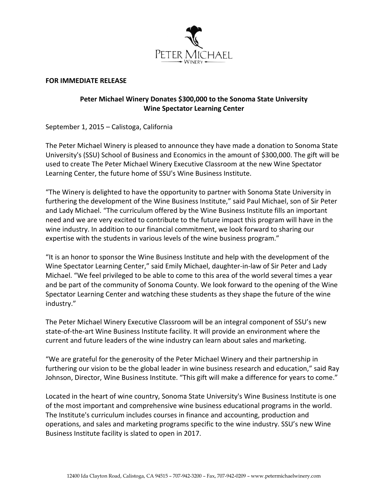

## **FOR IMMEDIATE RELEASE**

## **Peter Michael Winery Donates \$300,000 to the Sonoma State University Wine Spectator Learning Center**

September 1, 2015 – Calistoga, California

The Peter Michael Winery is pleased to announce they have made a donation to Sonoma State University's (SSU) School of Business and Economics in the amount of \$300,000. The gift will be used to create The Peter Michael Winery Executive Classroom at the new Wine Spectator Learning Center, the future home of SSU's Wine Business Institute.

"The Winery is delighted to have the opportunity to partner with Sonoma State University in furthering the development of the Wine Business Institute," said Paul Michael, son of Sir Peter and Lady Michael. "The curriculum offered by the Wine Business Institute fills an important need and we are very excited to contribute to the future impact this program will have in the wine industry. In addition to our financial commitment, we look forward to sharing our expertise with the students in various levels of the wine business program."

"It is an honor to sponsor the Wine Business Institute and help with the development of the Wine Spectator Learning Center," said Emily Michael, daughter-in-law of Sir Peter and Lady Michael. "We feel privileged to be able to come to this area of the world several times a year and be part of the community of Sonoma County. We look forward to the opening of the Wine Spectator Learning Center and watching these students as they shape the future of the wine industry."

The Peter Michael Winery Executive Classroom will be an integral component of SSU's new state-of-the-art Wine Business Institute facility. It will provide an environment where the current and future leaders of the wine industry can learn about sales and marketing.

"We are grateful for the generosity of the Peter Michael Winery and their partnership in furthering our vision to be the global leader in wine business research and education," said Ray Johnson, Director, Wine Business Institute. "This gift will make a difference for years to come."

Located in the heart of wine country, Sonoma State University's Wine Business Institute is one of the most important and comprehensive wine business educational programs in the world. The Institute's curriculum includes courses in finance and accounting, production and operations, and sales and marketing programs specific to the wine industry. SSU's new Wine Business Institute facility is slated to open in 2017.